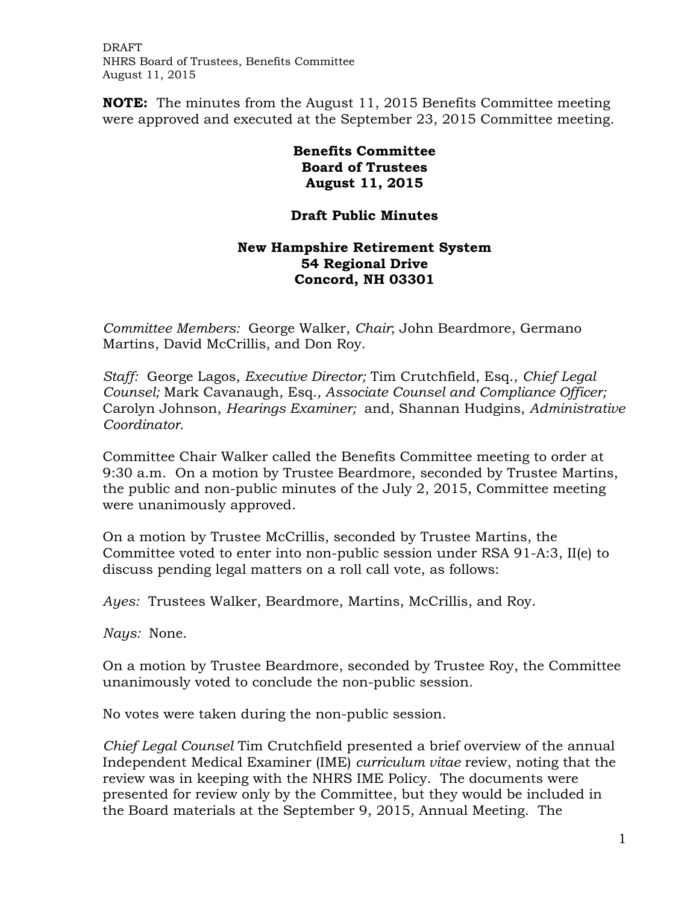DRAFT NHRS Board of Trustees, Benefits Committee August 11, 2015

**NOTE:** The minutes from the August 11, 2015 Benefits Committee meeting were approved and executed at the September 23, 2015 Committee meeting.

## **Benefits Committee Board of Trustees August 11, 2015**

## **Draft Public Minutes**

## **New Hampshire Retirement System 54 Regional Drive Concord, NH 03301**

*Committee Members:* George Walker, *Chair*; John Beardmore, Germano Martins, David McCrillis, and Don Roy.

*Staff:* George Lagos, *Executive Director;* Tim Crutchfield, Esq., *Chief Legal Counsel;* Mark Cavanaugh, Esq.*, Associate Counsel and Compliance Officer;*  Carolyn Johnson, *Hearings Examiner;* and, Shannan Hudgins, *Administrative Coordinator.* 

Committee Chair Walker called the Benefits Committee meeting to order at 9:30 a.m. On a motion by Trustee Beardmore, seconded by Trustee Martins, the public and non-public minutes of the July 2, 2015, Committee meeting were unanimously approved.

On a motion by Trustee McCrillis, seconded by Trustee Martins, the Committee voted to enter into non-public session under RSA 91-A:3, II(e) to discuss pending legal matters on a roll call vote, as follows:

*Ayes:* Trustees Walker, Beardmore, Martins, McCrillis, and Roy.

*Nays:* None.

On a motion by Trustee Beardmore, seconded by Trustee Roy, the Committee unanimously voted to conclude the non-public session.

No votes were taken during the non-public session.

*Chief Legal Counsel* Tim Crutchfield presented a brief overview of the annual Independent Medical Examiner (IME) *curriculum vitae* review, noting that the review was in keeping with the NHRS IME Policy. The documents were presented for review only by the Committee, but they would be included in the Board materials at the September 9, 2015, Annual Meeting. The